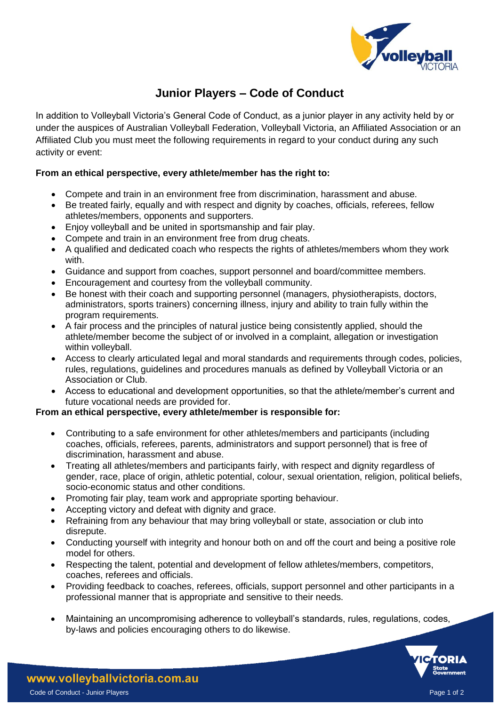

# **Junior Players – Code of Conduct**

In addition to Volleyball Victoria's General Code of Conduct, as a junior player in any activity held by or under the auspices of Australian Volleyball Federation, Volleyball Victoria, an Affiliated Association or an Affiliated Club you must meet the following requirements in regard to your conduct during any such activity or event:

## **From an ethical perspective, every athlete/member has the right to:**

- Compete and train in an environment free from discrimination, harassment and abuse.
- Be treated fairly, equally and with respect and dignity by coaches, officials, referees, fellow athletes/members, opponents and supporters.
- Enjoy volleyball and be united in sportsmanship and fair play.
- Compete and train in an environment free from drug cheats.
- A qualified and dedicated coach who respects the rights of athletes/members whom they work with.
- Guidance and support from coaches, support personnel and board/committee members.
- Encouragement and courtesy from the volleyball community.
- Be honest with their coach and supporting personnel (managers, physiotherapists, doctors, administrators, sports trainers) concerning illness, injury and ability to train fully within the program requirements.
- A fair process and the principles of natural justice being consistently applied, should the athlete/member become the subject of or involved in a complaint, allegation or investigation within volleyball.
- Access to clearly articulated legal and moral standards and requirements through codes, policies, rules, regulations, guidelines and procedures manuals as defined by Volleyball Victoria or an Association or Club.
- Access to educational and development opportunities, so that the athlete/member's current and future vocational needs are provided for.

### **From an ethical perspective, every athlete/member is responsible for:**

- Contributing to a safe environment for other athletes/members and participants (including coaches, officials, referees, parents, administrators and support personnel) that is free of discrimination, harassment and abuse.
- Treating all athletes/members and participants fairly, with respect and dignity regardless of gender, race, place of origin, athletic potential, colour, sexual orientation, religion, political beliefs, socio-economic status and other conditions.
- Promoting fair play, team work and appropriate sporting behaviour.
- Accepting victory and defeat with dignity and grace.
- Refraining from any behaviour that may bring volleyball or state, association or club into disrepute.
- Conducting yourself with integrity and honour both on and off the court and being a positive role model for others.
- Respecting the talent, potential and development of fellow athletes/members, competitors, coaches, referees and officials.
- Providing feedback to coaches, referees, officials, support personnel and other participants in a professional manner that is appropriate and sensitive to their needs.
- Maintaining an uncompromising adherence to volleyball's standards, rules, regulations, codes, by-laws and policies encouraging others to do likewise.